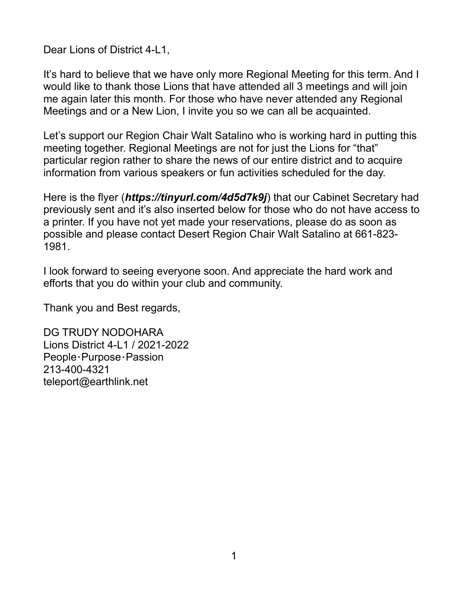Dear Lions of District 4-L1,

It's hard to believe that we have only more Regional Meeting for this term. And I would like to thank those Lions that have attended all 3 meetings and will join me again later this month. For those who have never attended any Regional Meetings and or a New Lion, I invite you so we can all be acquainted.

Let's support our Region Chair Walt Satalino who is working hard in putting this meeting together. Regional Meetings are not for just the Lions for "that" particular region rather to share the news of our entire district and to acquire information from various speakers or fun activities scheduled for the day.

Here is the flyer (*https://tinyurl.com/4d5d7k9j*) that our Cabinet Secretary had previously sent and it's also inserted below for those who do not have access to a printer. If you have not yet made your reservations, please do as soon as possible and please contact Desert Region Chair Walt Satalino at 661-823- 1981.

I look forward to seeing everyone soon. And appreciate the hard work and efforts that you do within your club and community.

Thank you and Best regards,

DG TRUDY NODOHARA Lions District 4-L1 / 2021-2022 People・Purpose・Passion 213-400-4321 teleport@earthlink.net